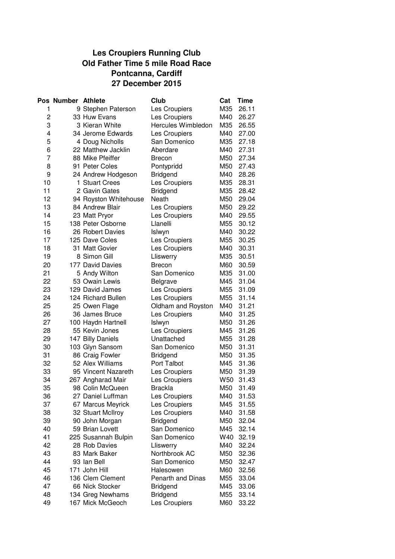## **Les Croupiers Running Club Old Father Time 5 mile Road Race Pontcanna, Cardiff 27 December 2015**

|                | Pos Number Athlete |                       | Club                     | Cat | <b>Time</b> |
|----------------|--------------------|-----------------------|--------------------------|-----|-------------|
| 1              |                    | 9 Stephen Paterson    | Les Croupiers            | M35 | 26.11       |
| $\overline{c}$ |                    | 33 Huw Evans          | Les Croupiers            | M40 | 26.27       |
| 3              |                    | 3 Kieran White        | Hercules Wimbledon       | M35 | 26.55       |
| 4              |                    | 34 Jerome Edwards     | Les Croupiers            | M40 | 27.00       |
| 5              |                    | 4 Doug Nicholls       | San Domenico             | M35 | 27.18       |
| 6              |                    | 22 Matthew Jacklin    | Aberdare                 | M40 | 27.31       |
| 7              |                    | 88 Mike Pfeiffer      | <b>Brecon</b>            | M50 | 27.34       |
| 8              |                    | 91 Peter Coles        | Pontypridd               | M50 | 27.43       |
| 9              |                    | 24 Andrew Hodgeson    | <b>Bridgend</b>          | M40 | 28.26       |
| 10             |                    | 1 Stuart Crees        | Les Croupiers            | M35 | 28.31       |
| 11             |                    | 2 Gavin Gates         | <b>Bridgend</b>          | M35 | 28.42       |
| 12             |                    | 94 Royston Whitehouse | Neath                    | M50 | 29.04       |
| 13             |                    | 84 Andrew Blair       | Les Croupiers            | M50 | 29.22       |
| 14             |                    | 23 Matt Pryor         | Les Croupiers            | M40 | 29.55       |
| 15             |                    | 138 Peter Osborne     | Llanelli                 | M55 | 30.12       |
| 16             |                    | 26 Robert Davies      | Islwyn                   | M40 | 30.22       |
| 17             |                    | 125 Dave Coles        | Les Croupiers            | M55 | 30.25       |
| 18             |                    | 31 Matt Govier        | Les Croupiers            | M40 | 30.31       |
| 19             |                    | 8 Simon Gill          | Lliswerry                | M35 | 30.51       |
| 20             |                    | 177 David Davies      | <b>Brecon</b>            | M60 | 30.59       |
| 21             |                    | 5 Andy Wilton         | San Domenico             | M35 | 31.00       |
| 22             |                    | 53 Owain Lewis        | Belgrave                 | M45 | 31.04       |
| 23             |                    | 129 David James       | Les Croupiers            | M55 | 31.09       |
| 24             |                    | 124 Richard Bullen    | Les Croupiers            | M55 | 31.14       |
| 25             |                    | 25 Owen Flage         | Oldham and Royston       | M40 | 31.21       |
| 26             |                    | 36 James Bruce        | Les Croupiers            | M40 | 31.25       |
| 27             |                    | 100 Haydn Hartnell    | Islwyn                   | M50 | 31.26       |
| 28             |                    | 55 Kevin Jones        | Les Croupiers            | M45 | 31.26       |
| 29             |                    | 147 Billy Daniels     | Unattached               | M55 | 31.28       |
| 30             |                    | 103 Glyn Sansom       | San Domenico             | M50 | 31.31       |
| 31             |                    | 86 Craig Fowler       | <b>Bridgend</b>          | M50 | 31.35       |
| 32             |                    | 52 Alex Williams      | Port Talbot              | M45 | 31.36       |
| 33             |                    | 95 Vincent Nazareth   | Les Croupiers            | M50 | 31.39       |
| 34             |                    | 267 Angharad Mair     | Les Croupiers            | W50 | 31.43       |
| 35             |                    | 98 Colin McQueen      | <b>Brackla</b>           | M50 | 31.49       |
| 36             |                    | 27 Daniel Luffman     | Les Croupiers            | M40 | 31.53       |
| 37             |                    | 67 Marcus Meyrick     | Les Croupiers            | M45 | 31.55       |
| 38             |                    | 32 Stuart McIlroy     | Les Croupiers            | M40 | 31.58       |
| 39             |                    | 90 John Morgan        | <b>Bridgend</b>          | M50 | 32.04       |
| 40             |                    | 59 Brian Lovett       | San Domenico             | M45 | 32.14       |
| 41             |                    | 225 Susannah Bulpin   | San Domenico             | W40 | 32.19       |
| 42             |                    | 28 Rob Davies         | Lliswerry                | M40 | 32.24       |
| 43             |                    | 83 Mark Baker         | Northbrook AC            | M50 | 32.36       |
| 44             |                    | 93 Ian Bell           | San Domenico             | M50 | 32.47       |
| 45             |                    | 171 John Hill         | Halesowen                | M60 | 32.56       |
| 46             |                    | 136 Clem Clement      | <b>Penarth and Dinas</b> | M55 | 33.04       |
| 47             |                    | 66 Nick Stocker       | <b>Bridgend</b>          | M45 | 33.06       |
| 48             |                    | 134 Greg Newhams      | <b>Bridgend</b>          | M55 | 33.14       |
| 49             |                    | 167 Mick McGeoch      | Les Croupiers            | M60 | 33.22       |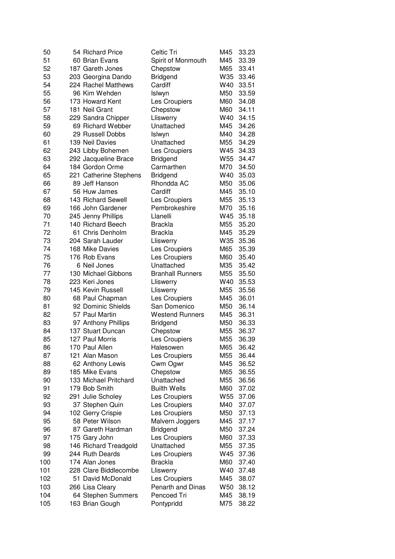| 50  | 54 Richard Price       | Celtic Tri               | M45             | 33.23 |
|-----|------------------------|--------------------------|-----------------|-------|
| 51  | 60 Brian Evans         | Spirit of Monmouth       | M45             | 33.39 |
| 52  | 187 Gareth Jones       | Chepstow                 | M65             | 33.41 |
| 53  | 203 Georgina Dando     | <b>Bridgend</b>          | W35             | 33.46 |
| 54  | 224 Rachel Matthews    | Cardiff                  | W40             | 33.51 |
| 55  | 96 Kim Wehden          | Islwyn                   | M50             | 33.59 |
| 56  | 173 Howard Kent        | Les Croupiers            | M60             | 34.08 |
| 57  | 181 Neil Grant         | Chepstow                 | M60             | 34.11 |
| 58  | 229 Sandra Chipper     | Lliswerry                | W40             | 34.15 |
| 59  | 69 Richard Webber      | Unattached               | M45             | 34.26 |
| 60  | 29 Russell Dobbs       | Islwyn                   | M40             | 34.28 |
| 61  | 139 Neil Davies        | Unattached               | M55             | 34.29 |
| 62  | 243 Libby Bohemen      | Les Croupiers            | W45             | 34.33 |
| 63  | 292 Jacqueline Brace   | <b>Bridgend</b>          | W55             | 34.47 |
| 64  | 184 Gordon Orme        | Carmarthen               | M70             | 34.50 |
| 65  | 221 Catherine Stephens | <b>Bridgend</b>          | W40             | 35.03 |
| 66  | 89 Jeff Hanson         | Rhondda AC               | M50             | 35.06 |
| 67  | 56 Huw James           | Cardiff                  | M45             | 35.10 |
| 68  | 143 Richard Sewell     | Les Croupiers            | M <sub>55</sub> | 35.13 |
| 69  | 166 John Gardener      | Pembrokeshire            | M70             | 35.16 |
| 70  | 245 Jenny Phillips     | Llanelli                 | W45             | 35.18 |
| 71  | 140 Richard Beech      | <b>Brackla</b>           | M55             | 35.20 |
| 72  | 61 Chris Denholm       | <b>Brackla</b>           | M45             | 35.29 |
| 73  | 204 Sarah Lauder       | Lliswerry                | W35             | 35.36 |
| 74  | 168 Mike Davies        | Les Croupiers            | M65             | 35.39 |
| 75  | 176 Rob Evans          | Les Croupiers            | M60             | 35.40 |
| 76  | 6 Neil Jones           | Unattached               | M35             | 35.42 |
| 77  | 130 Michael Gibbons    | <b>Branhall Runners</b>  | M55             | 35.50 |
| 78  | 223 Keri Jones         | Lliswerry                | W40             | 35.53 |
| 79  | 145 Kevin Russell      | Lliswerry                | M55             | 35.56 |
| 80  | 68 Paul Chapman        | Les Croupiers            | M45             | 36.01 |
| 81  | 92 Dominic Shields     | San Domenico             | M50             | 36.14 |
| 82  | 57 Paul Martin         | <b>Westend Runners</b>   | M45             | 36.31 |
| 83  | 97 Anthony Phillips    | <b>Bridgend</b>          | M50             | 36.33 |
| 84  | 137 Stuart Duncan      | Chepstow                 | M55             | 36.37 |
| 85  | 127 Paul Morris        | Les Croupiers            | M55             | 36.39 |
| 86  | 170 Paul Allen         | Halesowen                | M65             | 36.42 |
| 87  | 121 Alan Mason         | Les Croupiers            | M55             | 36.44 |
| 88  | 62 Anthony Lewis       | Cwm Ogwr                 | M45             | 36.52 |
| 89  | 185 Mike Evans         | Chepstow                 | M65             | 36.55 |
| 90  | 133 Michael Pritchard  | Unattached               | M55             | 36.56 |
| 91  | 179 Bob Smith          | <b>Builth Wells</b>      | M60             | 37.02 |
| 92  | 291 Julie Scholey      | Les Croupiers            | W55             | 37.06 |
| 93  | 37 Stephen Quin        | Les Croupiers            | M40             | 37.07 |
| 94  | 102 Gerry Crispie      | Les Croupiers            | M50             | 37.13 |
| 95  | 58 Peter Wilson        | Malvern Joggers          | M45             | 37.17 |
| 96  | 87 Gareth Hardman      | <b>Bridgend</b>          | M50             | 37.24 |
| 97  | 175 Gary John          | Les Croupiers            | M60             | 37.33 |
| 98  | 146 Richard Treadgold  | Unattached               | M55             | 37.35 |
| 99  | 244 Ruth Deards        | Les Croupiers            | W45             | 37.36 |
| 100 | 174 Alan Jones         | <b>Brackla</b>           | M60             | 37.40 |
| 101 | 228 Clare Biddlecombe  | Lliswerry                | W40             | 37.48 |
| 102 | 51 David McDonald      | Les Croupiers            | M45             | 38.07 |
| 103 | 266 Lisa Cleary        | <b>Penarth and Dinas</b> | W50             | 38.12 |
| 104 | 64 Stephen Summers     | Pencoed Tri              | M45             | 38.19 |
| 105 | 163 Brian Gough        | Pontypridd               | M75             | 38.22 |